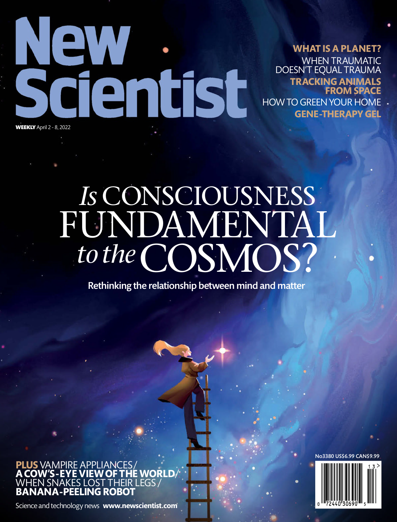

**WHAT ISAPLANET?** WHEN TRAUMATIC DOESN'T EQUAL TRAUMA **TRACKINGANIMALS FROM SPACE** HOW TO GREEN YOUR HOME

**GENE-THERAPYGEL**

# *Is* CONSCIOUSNESS FUNDAMENTAL *to the*COSMOS?

Rethinking the relationship between mind and matter

**PLUS** VAMPIRE APPLIANCES/ **ACOW'S-EYEVIEWOF THEWORLD**/ WHEN SNAKES LOST THEIR LEGS  $_{\rm i}$ **BANANA-PEELINGROBOT**

Science and technology news **www.newscientist.com**